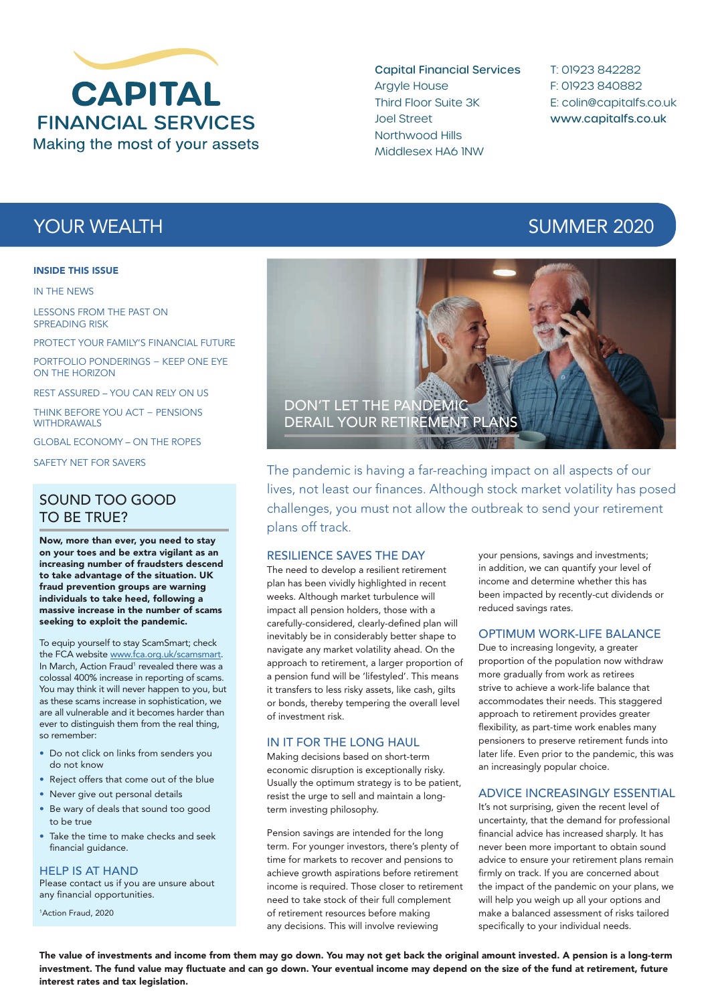

Capital Financial Services Argyle House Third Floor Suite 3K Joel Street Northwood Hills Middlesex HA6 1NW

T: 01923 842282 F: 01923 840882 E: colin@capitalfs.co.uk www.capitalfs.co.uk

#### INSIDE THIS ISSUE

IN THE NEWS

LESSONS FROM THE PAST ON SPREADING RISK

PROTECT YOUR FAMILY'S FINANCIAL FUTURE

PORTFOLIO PONDERINGS − KEEP ONE EYE ON THE HORIZON

REST ASSURED – YOU CAN RELY ON US

THINK BEFORE YOU ACT − PENSIONS WITHDRAWALS

GLOBAL ECONOMY – ON THE ROPES

SAFETY NET FOR SAVERS

## SOUND TOO GOOD TO BE TRUE?

Now, more than ever, you need to stay on your toes and be extra vigilant as an increasing number of fraudsters descend to take advantage of the situation. UK fraud prevention groups are warning individuals to take heed, following a massive increase in the number of scams seeking to exploit the pandemic.

To equip yourself to stay ScamSmart; check the FCA website www.fca.org.uk/scamsmart. In March, Action Fraud<sup>1</sup> revealed there was a colossal 400% increase in reporting of scams. You may think it will never happen to you, but as these scams increase in sophistication, we are all vulnerable and it becomes harder than ever to distinguish them from the real thing, so remember:

- Do not click on links from senders you do not know
- Reject offers that come out of the blue
- Never give out personal details
- Be wary of deals that sound too good to be true
- Take the time to make checks and seek financial quidance.

HELP IS AT HAND

Please contact us if you are unsure about any financial opportunities.

1 Action Fraud, 2020

# **YOUR WEALTH SUMMER 2020**



The pandemic is having a far-reaching impact on all aspects of our lives, not least our finances. Although stock market volatility has posed challenges, you must not allow the outbreak to send your retirement plans off track.

#### RESILIENCE SAVES THE DAY

The need to develop a resilient retirement plan has been vividly highlighted in recent weeks. Although market turbulence will impact all pension holders, those with a carefully-considered, clearly-defined plan will inevitably be in considerably better shape to navigate any market volatility ahead. On the approach to retirement, a larger proportion of a pension fund will be 'lifestyled'. This means it transfers to less risky assets, like cash, gilts or bonds, thereby tempering the overall level of investment risk.

#### IN IT FOR THE LONG HAUL

Making decisions based on short-term economic disruption is exceptionally risky. Usually the optimum strategy is to be patient, resist the urge to sell and maintain a longterm investing philosophy.

Pension savings are intended for the long term. For younger investors, there's plenty of time for markets to recover and pensions to achieve growth aspirations before retirement income is required. Those closer to retirement need to take stock of their full complement of retirement resources before making any decisions. This will involve reviewing

your pensions, savings and investments; in addition, we can quantify your level of income and determine whether this has been impacted by recently-cut dividends or reduced savings rates.

#### OPTIMUM WORK-LIFE BALANCE

Due to increasing longevity, a greater proportion of the population now withdraw more gradually from work as retirees strive to achieve a work-life balance that accommodates their needs. This staggered approach to retirement provides greater flexibility, as part-time work enables many pensioners to preserve retirement funds into later life. Even prior to the pandemic, this was an increasingly popular choice.

#### ADVICE INCREASINGLY ESSENTIAL

It's not surprising, given the recent level of uncertainty, that the demand for professional financial advice has increased sharply. It has never been more important to obtain sound advice to ensure your retirement plans remain firmly on track. If you are concerned about the impact of the pandemic on your plans, we will help you weigh up all your options and make a balanced assessment of risks tailored specifically to your individual needs.

The value of investments and income from them may go down. You may not get back the original amount invested. A pension is a long-term investment. The fund value may fluctuate and can go down. Your eventual income may depend on the size of the fund at retirement, future interest rates and tax legislation.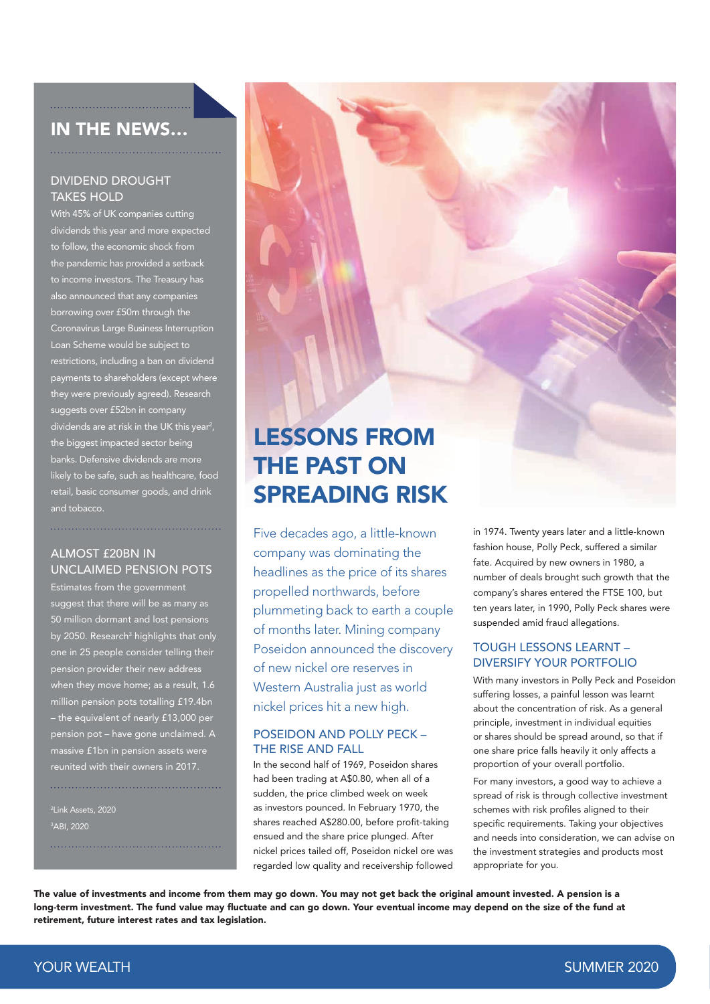# IN THE NEWS…

#### DIVIDEND DROUGHT **TAKES HOLD**

With 45% of UK companies cutting dividends this year and more expected to follow, the economic shock from the pandemic has provided a setback to income investors. The Treasury has also announced that any companies borrowing over £50m through the Coronavirus Large Business Interruption Loan Scheme would be subject to restrictions, including a ban on dividend payments to shareholders (except where they were previously agreed). Research suggests over £52bn in company dividends are at risk in the UK this year<sup>2</sup>, the biggest impacted sector being banks. Defensive dividends are more likely to be safe, such as healthcare, food retail, basic consumer goods, and drink and tobacco.

#### ALMOST £20BN IN UNCLAIMED PENSION POTS

Estimates from the government suggest that there will be as many as 50 million dormant and lost pensions by 2050. Research<sup>3</sup> highlights that only one in 25 people consider telling their pension provider their new address when they move home; as a result, 1.6 million pension pots totalling £19.4bn – the equivalent of nearly £13,000 per pension pot – have gone unclaimed. A massive £1bn in pension assets were reunited with their owners in 2017.

2 Link Assets, 2020 3 ABI, 2020

# LESSONS FROM THE PAST ON SPREADING RISK

Five decades ago, a little-known company was dominating the headlines as the price of its shares propelled northwards, before plummeting back to earth a couple of months later. Mining company Poseidon announced the discovery of new nickel ore reserves in Western Australia just as world nickel prices hit a new high.

#### POSEIDON AND POLLY PECK – THE RISE AND FALL

In the second half of 1969, Poseidon shares had been trading at A\$0.80, when all of a sudden, the price climbed week on week as investors pounced. In February 1970, the shares reached A\$280.00, before profit-taking ensued and the share price plunged. After nickel prices tailed off, Poseidon nickel ore was regarded low quality and receivership followed in 1974. Twenty years later and a little-known fashion house, Polly Peck, suffered a similar fate. Acquired by new owners in 1980, a number of deals brought such growth that the company's shares entered the FTSE 100, but ten years later, in 1990, Polly Peck shares were suspended amid fraud allegations.

#### TOUGH LESSONS LEARNT – DIVERSIFY YOUR PORTFOLIO

With many investors in Polly Peck and Poseidon suffering losses, a painful lesson was learnt about the concentration of risk. As a general principle, investment in individual equities or shares should be spread around, so that if one share price falls heavily it only affects a proportion of your overall portfolio.

For many investors, a good way to achieve a spread of risk is through collective investment schemes with risk profiles aligned to their specific requirements. Taking your objectives and needs into consideration, we can advise on the investment strategies and products most appropriate for you.

The value of investments and income from them may go down. You may not get back the original amount invested. A pension is a long-term investment. The fund value may fluctuate and can go down. Your eventual income may depend on the size of the fund at retirement, future interest rates and tax legislation.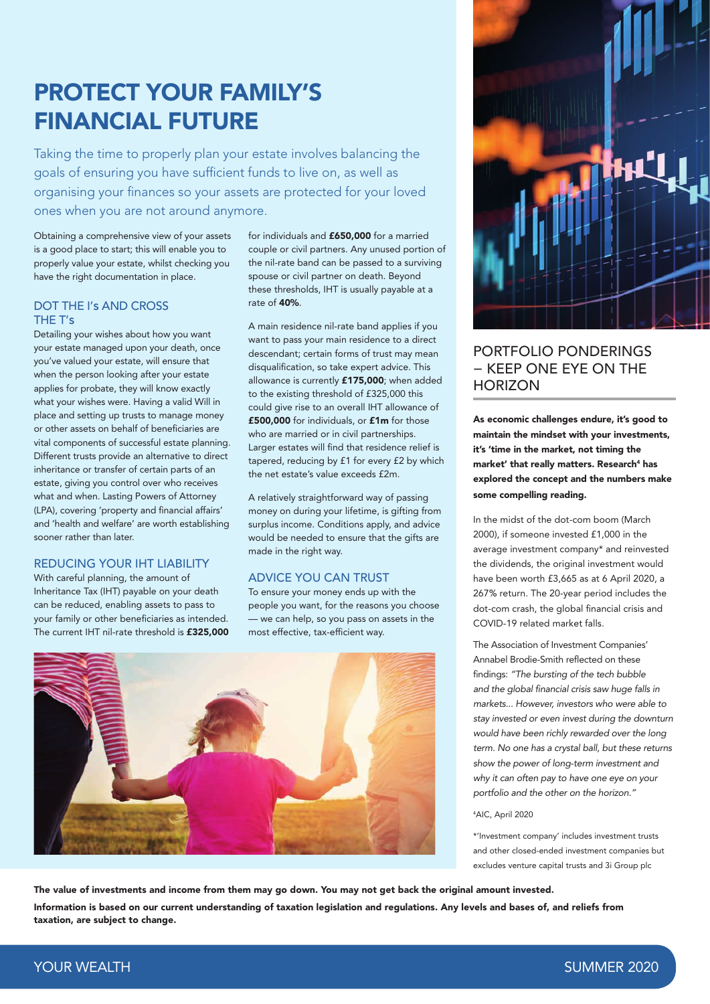# PROTECT YOUR FAMILY'S FINANCIAL FUTURE

Taking the time to properly plan your estate involves balancing the goals of ensuring you have sufficient funds to live on, as well as organising your finances so your assets are protected for your loved ones when you are not around anymore.

Obtaining a comprehensive view of your assets is a good place to start; this will enable you to properly value your estate, whilst checking you have the right documentation in place.

#### DOT THE I's AND CROSS THE T's

Detailing your wishes about how you want your estate managed upon your death, once you've valued your estate, will ensure that when the person looking after your estate applies for probate, they will know exactly what your wishes were. Having a valid Will in place and setting up trusts to manage money or other assets on behalf of beneficiaries are vital components of successful estate planning. Different trusts provide an alternative to direct inheritance or transfer of certain parts of an estate, giving you control over who receives what and when. Lasting Powers of Attorney (LPA), covering 'property and financial affairs' and 'health and welfare' are worth establishing sooner rather than later.

### REDUCING YOUR IHT LIABILITY

With careful planning, the amount of Inheritance Tax (IHT) payable on your death can be reduced, enabling assets to pass to your family or other beneficiaries as intended. The current IHT nil-rate threshold is £325,000 for individuals and £650,000 for a married couple or civil partners. Any unused portion of the nil-rate band can be passed to a surviving spouse or civil partner on death. Beyond these thresholds, IHT is usually payable at a rate of 40%.

A main residence nil-rate band applies if you want to pass your main residence to a direct descendant; certain forms of trust may mean disqualification, so take expert advice. This allowance is currently £175,000; when added to the existing threshold of £325,000 this could give rise to an overall IHT allowance of £500,000 for individuals, or £1m for those who are married or in civil partnerships. Larger estates will find that residence relief is tapered, reducing by £1 for every £2 by which the net estate's value exceeds £2m.

A relatively straightforward way of passing money on during your lifetime, is gifting from surplus income. Conditions apply, and advice would be needed to ensure that the gifts are made in the right way.

#### ADVICE YOU CAN TRUST

To ensure your money ends up with the people you want, for the reasons you choose — we can help, so you pass on assets in the most effective, tax-efficient way.





# PORTFOLIO PONDERINGS − KEEP ONE EYE ON THE **HORIZON**

As economic challenges endure, it's good to maintain the mindset with your investments, it's 'time in the market, not timing the market' that really matters. Research<sup>4</sup> has explored the concept and the numbers make some compelling reading.

In the midst of the dot-com boom (March 2000), if someone invested £1,000 in the average investment company\* and reinvested the dividends, the original investment would have been worth £3,665 as at 6 April 2020, a 267% return. The 20-year period includes the dot-com crash, the global financial crisis and COVID-19 related market falls.

The Association of Investment Companies' Annabel Brodie-Smith reflected on these findings: *"The bursting of the tech bubble and the global financial crisis saw huge falls in markets... However, investors who were able to stay invested or even invest during the downturn would have been richly rewarded over the long term. No one has a crystal ball, but these returns show the power of long-term investment and why it can often pay to have one eye on your portfolio and the other on the horizon."*

#### 4 AIC, April 2020

\*'Investment company' includes investment trusts and other closed-ended investment companies but excludes venture capital trusts and 3i Group plc

The value of investments and income from them may go down. You may not get back the original amount invested. Information is based on our current understanding of taxation legislation and regulations. Any levels and bases of, and reliefs from taxation, are subject to change.